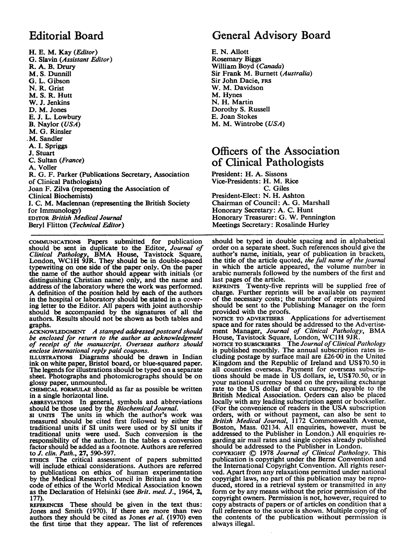H. E. M. Kay (Editor) G. Slavin (Assistant Editor) R. A. B. Drury M. S. Dunnill G. L. Gibson N. R. Grist M. S. R. Hutt W. J. Jenkins D. M. Jones E. J. L. Lowbury B. Naylor (USA) M. G. Rinsler .M. Sandler A. I. Spriggs J. Stuart C. Sultan (France) A. Voller R. G. F. Parker (Publications Secretary, Association of Clinical Pathologists) Joan F. Zilva (representing the Association of Clinical Biochemists) J. C. M. Maclennan (representing the British Society for Immunology) EDITOR British Medical Journal Beryl Flitton (Technical Editor)

COMMUNICATIONS Papers submitted for publication should be sent in duplicate to the Editor, Journal of Clinical Pathology, BMA House, Tavistock Square, London, WC1H 9JR. They should be in double-spaced typewriting on one side of the paper only. On the paper the name of the author should appear with initials (or distinguishing Christian name) only, and the name and address of the laboratory where the work was performed. A definition of the position held by each of the authors in the hospital or laboratory should be stated in a covering letter to the Editor. All papers with joint authorship should be accompanied by the signatures of all the authors. Results should not be shown as both tables and graphs.

ACKNOWLEDGMENT A stamped addressed postcard should be enclosed for return to the author as acknowledgment of receipt of the manuscript. Overseas authors should enclose international reply paid coupons.

ILLUSTRATIONS Diagrams should be drawn in Indian ink on white paper, Bristol board, or blue-squared paper. The legends for illustrations should be typed on a separate sheet. Photographs and photomicrographs should be on glossy paper, unmounted.

CHEMICAL FORMULAE should as far as possible be written in a single horizontal line.

ABBREVIATIONS In general, symbols and abbreviations should be those used by the Biochemical Journal.

SI UNITS The units in which the author's work was measured should be cited first followed by either the traditional units if SI units were used or by SI units if traditional units were used. Such conversion is the responsibility of the author. In the tables a conversion factor should be added as a footnote. Authors are referred to J. clin. Path., 27, 590-597.

ETHICS The critical assessment of papers submitted will include ethical considerations. Authors are referred to publications on ethics of human experimentation by the Medical Research Council in Britain and to the code of ethics of the World Medical Association known as the Declaration of Helsinki (see Brit. med. J., 1964, 2, 177).

REFERENCES These should be given in the text thus: Jones and Smith (1970). If there are more than two authors they should be cited as Jones et al. (1970) even the first time that they appear. The list of references

# Editorial Board General Advisory Board

E. N. Allott Rosemary Biggs William Boyd (Canada) Sir Frank M. Burnett (Australia) Sir John Dacie, FRS W. M. Davidson M. Hynes N. H. Martin Dorothy S. Russell E. Joan Stokes M. M. Wintrobe (USA)

## Officers of the Association of Clinical Pathologists

President: H. A. Sissons Vice-Presidents: H. M. Rice C. Giles President-Elect: N. H. Ashton Chairman of Council: A. G. Marshall Honorary Secretary: A. C. Hunt Honorary Treasurer: G. W. Pennington Meetings Secretary: Rosalinde Hurley

should be typed in double spacing and in alphabetical order on a separate sheet. Such references should give the author's name, initials, year of publication in brackets, the title of the article quoted, the full name of the journal in which the article appeared, the volume number in arabic numerals followed by the numbers of the first and last pages of the article.

REPRINTS Twenty-five reprints will be supplied free of charge. Further reprints will be available on payment of the- necessary costs; the number of reprints required should be sent to the Publishing Manager on the form

provided with the proofs. NOTICE TO ADVERTISERS Applications for advertisement space and for rates should be addressed to the Advertisement Manager, Journal of Clinical Pathology, BMA House, Tavistock Square, London, WC1H 9JR.<br>NOTICE TO SUBSCRIBERS The Journal of Clinical Pathology

is published monthly. The annual subscription rates including postage by surface mail are £26-00 in the United Kingdom and the Republic of Ireland and US\$70.50 in all countries overseas. Payment for overseas subscrip-tions should be made in US dollars, ie, US\$70.50, or in your national currency based on the prevailing exchange rate to the US dollar of that currency, payable to the British Medical Association. Orders can also be placed locally with any leading subscription agent or bookseller. (For the convenience of readers in the USA subscription orders, with or without payment, can also be sent to British Medical Journal, 1172 Commonwealth Avenue, Boston, Mass. 02134. All enquiries, however, must be addressed to the Publisher in London.) All enquiries regarding air mail rates and single copies already published should be addressed to the Publisher in London.

copyright © 1978 *Journal of Clinical Pathology*. This<br>publication is copyright under the Berne Convention and the International Copyright Convention. All rights reserved. Apart from any relaxations permitted under national copyright laws, no part of this publication may be reproduced, stored in a retrieval system or transmitted in any form or by any means without the prior permission of the copyright owners. Permission is not, however, required to copy abstracts of papers or of articles on condition that a full reference to the source is shown. Multiple copying of the contents of the publication without permission is always illegal.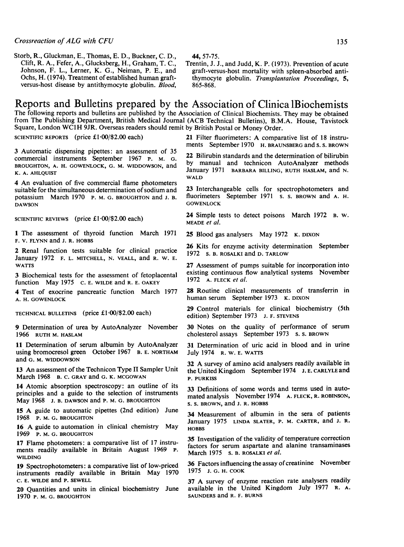Storb, R., Gluckman, E., Thomas, E. D., Buckner, C. D., Clift, R. A., Fefer, A., Glucksberg, H., Graham, T. C., Johnson, F. L., Lerner, K. G., Neiman, P. E., and Ochs, H. (1974). Treatment of established human graftversus-host disease by antithymocyte globulin. Blood, 44, 57-75.

Trentin, J. J., and Judd, K. P. (1973). Prevention of acute graft-versus-host mortality with spleen-absorbed antithymocyte globulin. Transplantation Proceedings, 5, 865-868.

## Reports and Bulletins prepared by the Association of Clinica iBiochemists

The following reports and bulletins are published by the Association of Clinical Biochemists. They may be obtained from The Publishing Department, British Medical Journal (ACB Technical Bulletins), B.M.A. House, Tavistock Square, London WC1H 9JR. Overseas readers should remit by British Postal or Money Order.

SCIENTIFIC REPORTS (price £1-00/\$2.00 each)

3 Automatic dispensing pipettes: an assessment of 35 commercial instruments September 1967 P. M. G. BROUGHTON, A. H. GOWENLOCK, G. M. WIDDOWSON, and K. A. AHLQUIST

4 An evaluation of five commercial flame photometers suitable for the simultaneous determination of sodium and potassium March 1970 P. M. G. BROUGHTON and J. B. DAWSON

SCIENTIFIC REVIEWS (price £1.00/\$2.00 each)

<sup>1</sup> The assessment of thyroid function March 1971 F. V. FLYNN and J. R. HOBBS

2 Renal function tests suitable for clinical practice January 1972 F. L. MITCHELL, N. VEALL, and R. W. E. WATTS

3 Biochemical tests for the assessment of fetoplacental function May 1975 C. E. WILDE and R. E. OAKEY

4 Test of exocrine pancreatic function March 1977 A. H. GOWENLOCK

TECHNICAL BULLETINS (price  $£1.00$ /\$2.00 each)

9 Determination of urea by AutoAnalyzer November 1966 RUTH M. HASLAM

11 Determination of serum albumin by AutoAnalyzer using bromocresol green October 1967 B. E. NORTHAM and G. M. WIDDOWSON

13 An assessment of the Technicon Type II Sampler Unit March 1968 B. C. GRAY and G. K. MCGOWAN

14 Atomic absorption spectroscopy: an outline of its principles and a guide to the selection of instruments May 1968 J. B. DAWSON and P. M. G. BROUGHTON

<sup>15</sup> A guide to automatic pipettes (2nd edition) June 1968 P. M. G. BROUGHTON

<sup>16</sup> A guide to automation in clinical chemistry May 1969 P. M. G. BROUGHTON

17 Flame photometers: a comparative list of 17 instruments readily available in Britain August 1969 P. WILDING

19 Spectrophotometers: a comparative list of low-priced instruments readily available in Britain May 1970 C. E. WILDE and P. SEWELL

20 Quantities and units in clinical biochemistry June 1970 P. M. G. BROUGHTON

<sup>21</sup> Filter fluorimeters: A comparative list of <sup>18</sup> instruments September 1970 H. BRAUNSBERG and S. S. BROWN

22 Bilirubin standards and the determination of bilirubin by manual and technicon AutoAnalyzer methods January 1971 BARBARA BILLING, RUTH HASLAM, and N. WAI<sub>D</sub>

23 Interchangeable cells for spectrophotometers and fluorimeters September 1971 s. s. BROWN and A. H. **GOWENLOCK** 

24 Simple tests to detect poisons March 1972 B. W. MEADE et al.

25 Blood gas analysers May 1972 K. DIXON

26 Kits for enzyme activity determination September 1972 s. B. ROSALKI and D. TARLOW

27 Assessment of pumps suitable for incorporation into existing continuous flow analytical systems November 1972 A. FLECK et al.

28 Routine clinical measurements of transferrin in human serum September 1973 K. DIXON

29 Control materials for clinical biochemistry (Sth edition) September 1973 J. F. STEVENS

30 Notes on the quality of performance of serum cholesterol assays September 1973 s. s. BROWN

31 Determination of uric acid in blood and in urine July 1974 R. W. E. WATTS

<sup>32</sup> A survey of amino acid analysers readily available in the United Kingdom September 1974 J. E. CARLYLE and P. PURKISS

33 Definitions of some words and terms used in automated analysis November 1974 A. FLECK, R. ROBINSON, S. S. BROWN, and J. R. HOBBS

34 Measurement of albumin in the sera of patients January 1975 LINDA SLATER, P. M. CARTER, and J. R. HOBBS

35 Investigation of the validity of temperature correction factors for serum aspartate and alanine transaminases March 1975 s. B. ROSALKI et al.

36 Factors influencing the assay of creatinine November 1975 J. G. H. COOK

<sup>37</sup> A survey of enzyme reaction rate analysers readily available in the United Kingdom July 1977 R. A. SAUNDERS and R. F. BURNS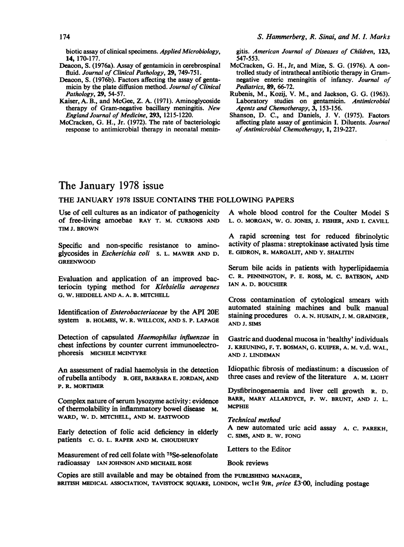biotic assay of clinical specimens. Applied Microbiology, 14, 170-177.

- Deacon, S. (1976a). Assay of gentamicin in cerebrospinal fluid. Journal of Clinical Pathology, 29, 749-751.
- Deacon, S. (1976b). Factors affecting the assay of gentamicin by the plate diffusion method. Journal of Clinical Pathology, 29, 54-57.
- Kaiser, A. B., and McGee, Z. A. (1971). Aminoglycoside therapy of Gram-negative bacillary meningitis. New England Journal of Medicine, 293, 1215-1220.
- McCracken, G. H., Jr. (1972). The rate of bacteriologic response to antimicrobial therapy in neonatal menin-

gitis. American Journal of Diseases of Children, 123, 547-553.

- McCracken, G. H., Jr, and Mize, S. G. (1976). A controlled study of intrathecal antibiotic therapy in Gramnegative enteric meningitis of infancy. Journal of Pediatrics, 89, 66-72.
- Rubenis, M., Kozij, V. M., and Jackson, G. G. (1963). Laboratory studies on gentamicin. Antimicrobial Agents and Chemotherapy, 3, 153-156.
- Shanson, D. C., and Daniels, J. V. (1975). Factors affecting plate assay of gentimicin I. Diluents. Journal of Antimicrobial Chemotherapy, 1, 219-227.

## The January 1978 issue

#### THE JANUARY <sup>1978</sup> ISSUE CONTAINS THE FOLLOWING PAPERS

Use of cell cultures as an indicator of pathogenicity of free-living amoebae RAY T. M. CURSONS AND TIM J. BROWN

Specific and non-specific resistance to aminoglycosides in Escherichia coli s. L. MAWER AND D. GREENWOOD

Evaluation and application of an improved bacteriocin typing method for Klebsiella aerogenes G. W. HEDDELL AND A. A. B. MITCHELL

Identification of Enterobacteriaceae by the API 20E system B. HOLMES, W. R. WILLCOX, AND S. P. LAPAGE

Detection of capsulated Haemophilus influenzae in chest infections by counter current immunoelectrophoresis MICHELE MCINTYRE

An assessment of radial haemolysis in the detection ofrubella antibody B. GEE, BARBARA E. JORDAN, AND P. R. MORTIMER

Complex nature of serum lysozyme activity: evidence of thermolability in inflammatory bowel disease M. WARD, W. D. MITCHELL, AND M. EASTWOOD

Early detection of folic acid deficiency in elderly patients C. G. L. RAPER AND M. CHOUDHURY

Measurement of red cell folate with 75Se-selenofolate radioassay IAN JOHNSON AND MICHAEL ROSE

A whole blood control for the Coulter Model S L. 0. MORGAN, W. G. JONES, J. FISHER, AND I. CAVILL

A rapid screening test for reduced fibrinolytic activity of plasma: streptokinase activated lysis time E. GIDRON, R. MARGALIT, AND Y. SHALITIN

Serum bile acids in patients with hyperlipidaemia C. R. PENNINGTON, P. E. ROSS, M. C. BATESON, AND IAN A. D. BOUCHIER

Cross contamination of cytological smears with automated staining machines and bulk manual staining procedures o. A. N. HUSAIN, J. M. GRAINGER, AND J. SIMS

Gastric and duodenal mucosa in 'healthy' individuals J. KREUNING, F. T. BOSMAN, G. KUIPER, A. M. v.d. WAL, AND J. LINDEMAN

Idiopathic fibrosis of mediastinum: a discussion of three cases and review of the literature A. M. LIGHT

Dysfibrinogenaemia and liver cell growth R. D. BARR, MARY ALLARDYCE, P. W. BRUNT, AND J. L. MCPHIE

#### Technical method

A new automated uric acid assay A. C. PAREKH, C. SIMS, AND R. W. FONG

Letters to the Editor

Book reviews

Copies are still available and may be obtained from the PUBLISHING MANAGER, BRITISH MEDICAL ASSOCIATION, TAVISTOCK SQUARE, LONDON, WC1H 9JR, price £3.00, including postage